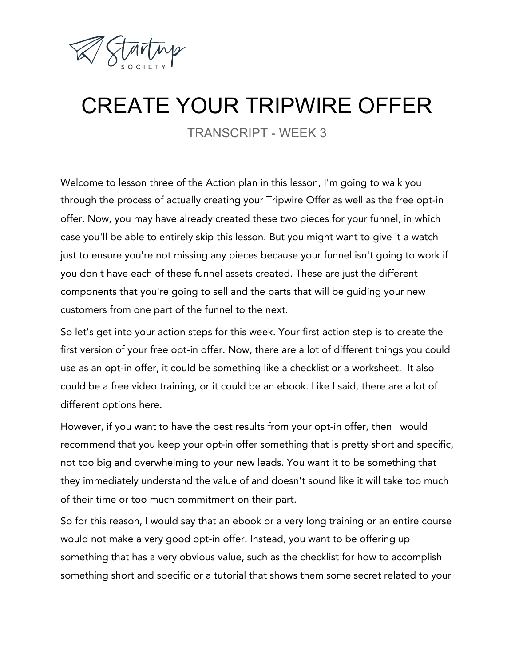

## CREATE YOUR TRIPWIRE OFFER

TRANSCRIPT - WEEK 3

Welcome to lesson three of the Action plan in this lesson, I'm going to walk you through the process of actually creating your Tripwire Offer as well as the free opt-in offer. Now, you may have already created these two pieces for your funnel, in which case you'll be able to entirely skip this lesson. But you might want to give it a watch just to ensure you're not missing any pieces because your funnel isn't going to work if you don't have each of these funnel assets created. These are just the different components that you're going to sell and the parts that will be guiding your new customers from one part of the funnel to the next.

So let's get into your action steps for this week. Your first action step is to create the first version of your free opt-in offer. Now, there are a lot of different things you could use as an opt-in offer, it could be something like a checklist or a worksheet. It also could be a free video training, or it could be an ebook. Like I said, there are a lot of different options here.

However, if you want to have the best results from your opt-in offer, then I would recommend that you keep your opt-in offer something that is pretty short and specific, not too big and overwhelming to your new leads. You want it to be something that they immediately understand the value of and doesn't sound like it will take too much of their time or too much commitment on their part.

So for this reason, I would say that an ebook or a very long training or an entire course would not make a very good opt-in offer. Instead, you want to be offering up something that has a very obvious value, such as the checklist for how to accomplish something short and specific or a tutorial that shows them some secret related to your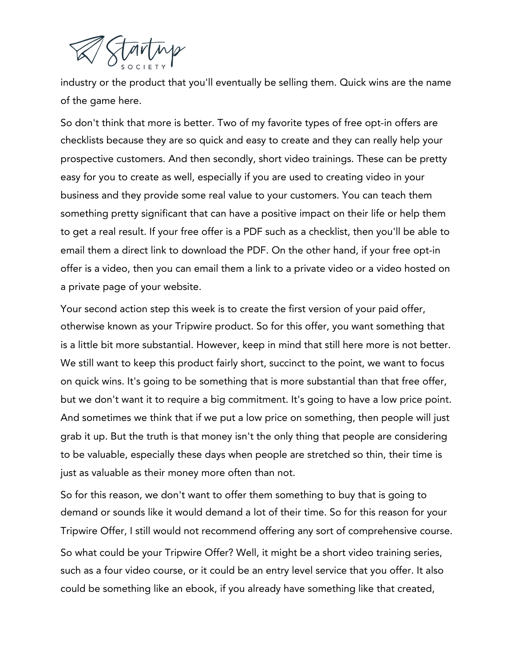

industry or the product that you'll eventually be selling them. Quick wins are the name of the game here.

So don't think that more is better. Two of my favorite types of free opt-in offers are checklists because they are so quick and easy to create and they can really help your prospective customers. And then secondly, short video trainings. These can be pretty easy for you to create as well, especially if you are used to creating video in your business and they provide some real value to your customers. You can teach them something pretty significant that can have a positive impact on their life or help them to get a real result. If your free offer is a PDF such as a checklist, then you'll be able to email them a direct link to download the PDF. On the other hand, if your free opt-in offer is a video, then you can email them a link to a private video or a video hosted on a private page of your website.

Your second action step this week is to create the first version of your paid offer, otherwise known as your Tripwire product. So for this offer, you want something that is a little bit more substantial. However, keep in mind that still here more is not better. We still want to keep this product fairly short, succinct to the point, we want to focus on quick wins. It's going to be something that is more substantial than that free offer, but we don't want it to require a big commitment. It's going to have a low price point. And sometimes we think that if we put a low price on something, then people will just grab it up. But the truth is that money isn't the only thing that people are considering to be valuable, especially these days when people are stretched so thin, their time is just as valuable as their money more often than not.

So for this reason, we don't want to offer them something to buy that is going to demand or sounds like it would demand a lot of their time. So for this reason for your Tripwire Offer, I still would not recommend offering any sort of comprehensive course.

So what could be your Tripwire Offer? Well, it might be a short video training series, such as a four video course, or it could be an entry level service that you offer. It also could be something like an ebook, if you already have something like that created,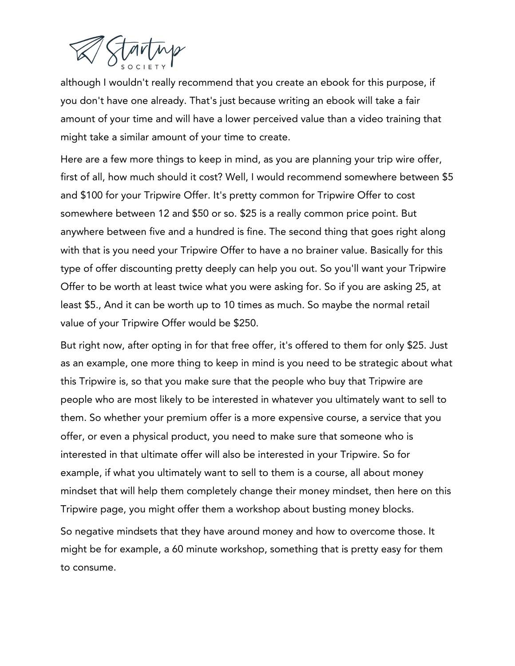

although I wouldn't really recommend that you create an ebook for this purpose, if you don't have one already. That's just because writing an ebook will take a fair amount of your time and will have a lower perceived value than a video training that might take a similar amount of your time to create.

Here are a few more things to keep in mind, as you are planning your trip wire offer, first of all, how much should it cost? Well, I would recommend somewhere between \$5 and \$100 for your Tripwire Offer. It's pretty common for Tripwire Offer to cost somewhere between 12 and \$50 or so. \$25 is a really common price point. But anywhere between five and a hundred is fine. The second thing that goes right along with that is you need your Tripwire Offer to have a no brainer value. Basically for this type of offer discounting pretty deeply can help you out. So you'll want your Tripwire Offer to be worth at least twice what you were asking for. So if you are asking 25, at least \$5., And it can be worth up to 10 times as much. So maybe the normal retail value of your Tripwire Offer would be \$250.

But right now, after opting in for that free offer, it's offered to them for only \$25. Just as an example, one more thing to keep in mind is you need to be strategic about what this Tripwire is, so that you make sure that the people who buy that Tripwire are people who are most likely to be interested in whatever you ultimately want to sell to them. So whether your premium offer is a more expensive course, a service that you offer, or even a physical product, you need to make sure that someone who is interested in that ultimate offer will also be interested in your Tripwire. So for example, if what you ultimately want to sell to them is a course, all about money mindset that will help them completely change their money mindset, then here on this Tripwire page, you might offer them a workshop about busting money blocks.

So negative mindsets that they have around money and how to overcome those. It might be for example, a 60 minute workshop, something that is pretty easy for them to consume.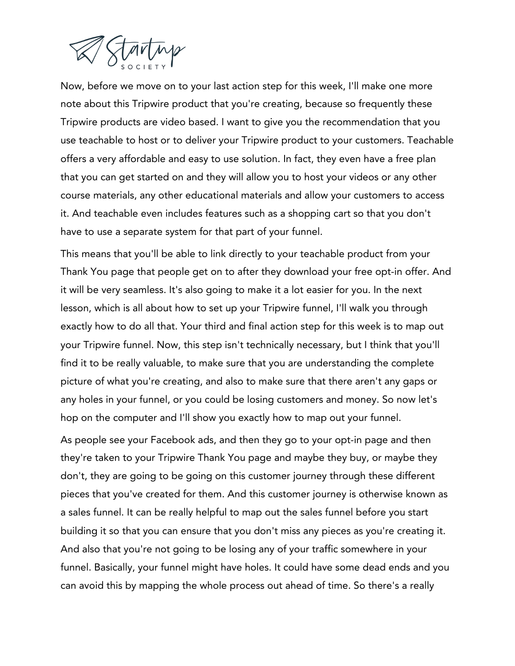

Now, before we move on to your last action step for this week, I'll make one more note about this Tripwire product that you're creating, because so frequently these Tripwire products are video based. I want to give you the recommendation that you use teachable to host or to deliver your Tripwire product to your customers. Teachable offers a very affordable and easy to use solution. In fact, they even have a free plan that you can get started on and they will allow you to host your videos or any other course materials, any other educational materials and allow your customers to access it. And teachable even includes features such as a shopping cart so that you don't have to use a separate system for that part of your funnel.

This means that you'll be able to link directly to your teachable product from your Thank You page that people get on to after they download your free opt-in offer. And it will be very seamless. It's also going to make it a lot easier for you. In the next lesson, which is all about how to set up your Tripwire funnel, I'll walk you through exactly how to do all that. Your third and final action step for this week is to map out your Tripwire funnel. Now, this step isn't technically necessary, but I think that you'll find it to be really valuable, to make sure that you are understanding the complete picture of what you're creating, and also to make sure that there aren't any gaps or any holes in your funnel, or you could be losing customers and money. So now let's hop on the computer and I'll show you exactly how to map out your funnel.

As people see your Facebook ads, and then they go to your opt-in page and then they're taken to your Tripwire Thank You page and maybe they buy, or maybe they don't, they are going to be going on this customer journey through these different pieces that you've created for them. And this customer journey is otherwise known as a sales funnel. It can be really helpful to map out the sales funnel before you start building it so that you can ensure that you don't miss any pieces as you're creating it. And also that you're not going to be losing any of your traffic somewhere in your funnel. Basically, your funnel might have holes. It could have some dead ends and you can avoid this by mapping the whole process out ahead of time. So there's a really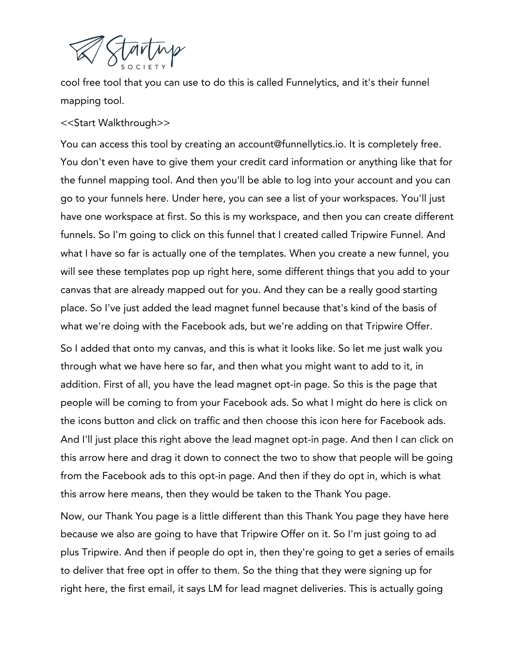

cool free tool that you can use to do this is called Funnelytics, and it's their funnel mapping tool.

## <<Start Walkthrough>>

You can access this tool by creating an account@funnellytics.io. It is completely free. You don't even have to give them your credit card information or anything like that for the funnel mapping tool. And then you'll be able to log into your account and you can go to your funnels here. Under here, you can see a list of your workspaces. You'll just have one workspace at first. So this is my workspace, and then you can create different funnels. So I'm going to click on this funnel that I created called Tripwire Funnel. And what I have so far is actually one of the templates. When you create a new funnel, you will see these templates pop up right here, some different things that you add to your canvas that are already mapped out for you. And they can be a really good starting place. So I've just added the lead magnet funnel because that's kind of the basis of what we're doing with the Facebook ads, but we're adding on that Tripwire Offer.

So I added that onto my canvas, and this is what it looks like. So let me just walk you through what we have here so far, and then what you might want to add to it, in addition. First of all, you have the lead magnet opt-in page. So this is the page that people will be coming to from your Facebook ads. So what I might do here is click on the icons button and click on traffic and then choose this icon here for Facebook ads. And I'll just place this right above the lead magnet opt-in page. And then I can click on this arrow here and drag it down to connect the two to show that people will be going from the Facebook ads to this opt-in page. And then if they do opt in, which is what this arrow here means, then they would be taken to the Thank You page.

Now, our Thank You page is a little different than this Thank You page they have here because we also are going to have that Tripwire Offer on it. So I'm just going to ad plus Tripwire. And then if people do opt in, then they're going to get a series of emails to deliver that free opt in offer to them. So the thing that they were signing up for right here, the first email, it says LM for lead magnet deliveries. This is actually going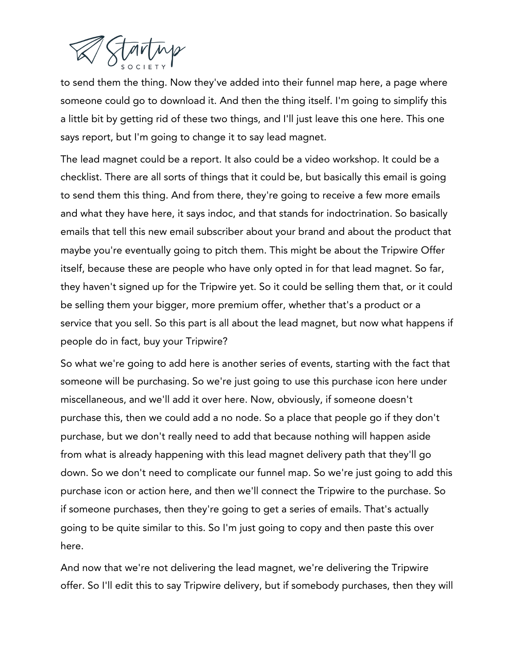

to send them the thing. Now they've added into their funnel map here, a page where someone could go to download it. And then the thing itself. I'm going to simplify this a little bit by getting rid of these two things, and I'll just leave this one here. This one says report, but I'm going to change it to say lead magnet.

The lead magnet could be a report. It also could be a video workshop. It could be a checklist. There are all sorts of things that it could be, but basically this email is going to send them this thing. And from there, they're going to receive a few more emails and what they have here, it says indoc, and that stands for indoctrination. So basically emails that tell this new email subscriber about your brand and about the product that maybe you're eventually going to pitch them. This might be about the Tripwire Offer itself, because these are people who have only opted in for that lead magnet. So far, they haven't signed up for the Tripwire yet. So it could be selling them that, or it could be selling them your bigger, more premium offer, whether that's a product or a service that you sell. So this part is all about the lead magnet, but now what happens if people do in fact, buy your Tripwire?

So what we're going to add here is another series of events, starting with the fact that someone will be purchasing. So we're just going to use this purchase icon here under miscellaneous, and we'll add it over here. Now, obviously, if someone doesn't purchase this, then we could add a no node. So a place that people go if they don't purchase, but we don't really need to add that because nothing will happen aside from what is already happening with this lead magnet delivery path that they'll go down. So we don't need to complicate our funnel map. So we're just going to add this purchase icon or action here, and then we'll connect the Tripwire to the purchase. So if someone purchases, then they're going to get a series of emails. That's actually going to be quite similar to this. So I'm just going to copy and then paste this over here.

And now that we're not delivering the lead magnet, we're delivering the Tripwire offer. So I'll edit this to say Tripwire delivery, but if somebody purchases, then they will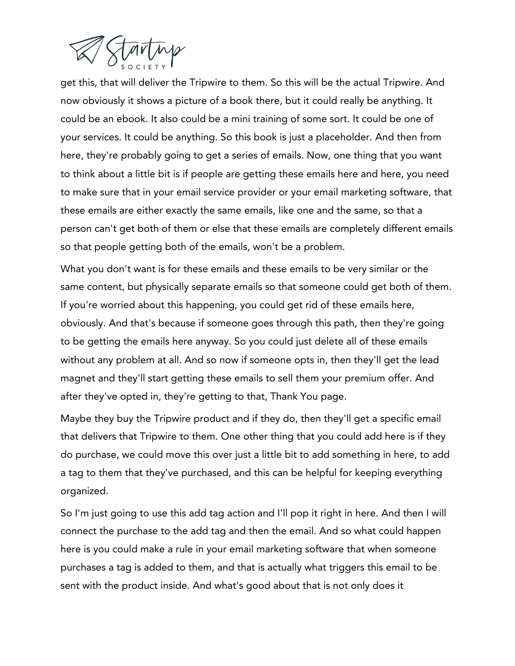

get this, that will deliver the Tripwire to them. So this will be the actual Tripwire. And now obviously it shows a picture of a book there, but it could really be anything. It could be an ebook. It also could be a mini training of some sort. It could be one of your services. It could be anything. So this book is just a placeholder. And then from here, they're probably going to get a series of emails. Now, one thing that you want to think about a little bit is if people are getting these emails here and here, you need to make sure that in your email service provider or your email marketing software, that these emails are either exactly the same emails, like one and the same, so that a person can't get both of them or else that these emails are completely different emails so that people getting both of the emails, won't be a problem.

What you don't want is for these emails and these emails to be very similar or the same content, but physically separate emails so that someone could get both of them. If you're worried about this happening, you could get rid of these emails here, obviously. And that's because if someone goes through this path, then they're going to be getting the emails here anyway. So you could just delete all of these emails without any problem at all. And so now if someone opts in, then they'll get the lead magnet and they'll start getting these emails to sell them your premium offer. And after they've opted in, they're getting to that, Thank You page.

Maybe they buy the Tripwire product and if they do, then they'll get a specific email that delivers that Tripwire to them. One other thing that you could add here is if they do purchase, we could move this over just a little bit to add something in here, to add a tag to them that they've purchased, and this can be helpful for keeping everything organized.

So I'm just going to use this add tag action and I'll pop it right in here. And then I will connect the purchase to the add tag and then the email. And so what could happen here is you could make a rule in your email marketing software that when someone purchases a tag is added to them, and that is actually what triggers this email to be sent with the product inside. And what's good about that is not only does it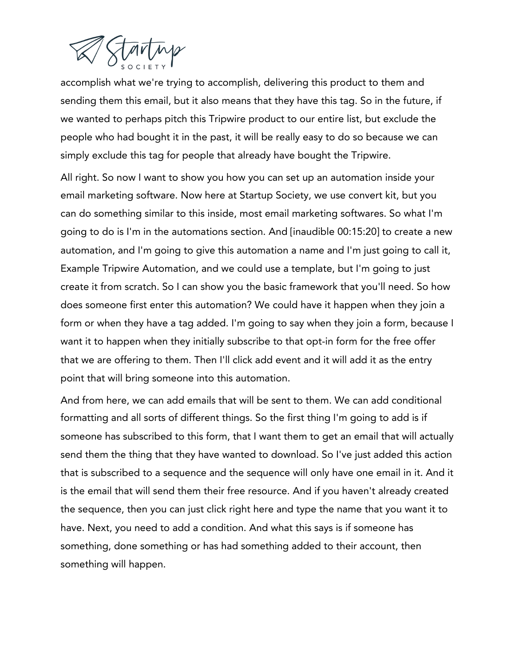

accomplish what we're trying to accomplish, delivering this product to them and sending them this email, but it also means that they have this tag. So in the future, if we wanted to perhaps pitch this Tripwire product to our entire list, but exclude the people who had bought it in the past, it will be really easy to do so because we can simply exclude this tag for people that already have bought the Tripwire.

All right. So now I want to show you how you can set up an automation inside your email marketing software. Now here at Startup Society, we use convert kit, but you can do something similar to this inside, most email marketing softwares. So what I'm going to do is I'm in the automations section. And [inaudible 00:15:20] to create a new automation, and I'm going to give this automation a name and I'm just going to call it, Example Tripwire Automation, and we could use a template, but I'm going to just create it from scratch. So I can show you the basic framework that you'll need. So how does someone first enter this automation? We could have it happen when they join a form or when they have a tag added. I'm going to say when they join a form, because I want it to happen when they initially subscribe to that opt-in form for the free offer that we are offering to them. Then I'll click add event and it will add it as the entry point that will bring someone into this automation.

And from here, we can add emails that will be sent to them. We can add conditional formatting and all sorts of different things. So the first thing I'm going to add is if someone has subscribed to this form, that I want them to get an email that will actually send them the thing that they have wanted to download. So I've just added this action that is subscribed to a sequence and the sequence will only have one email in it. And it is the email that will send them their free resource. And if you haven't already created the sequence, then you can just click right here and type the name that you want it to have. Next, you need to add a condition. And what this says is if someone has something, done something or has had something added to their account, then something will happen.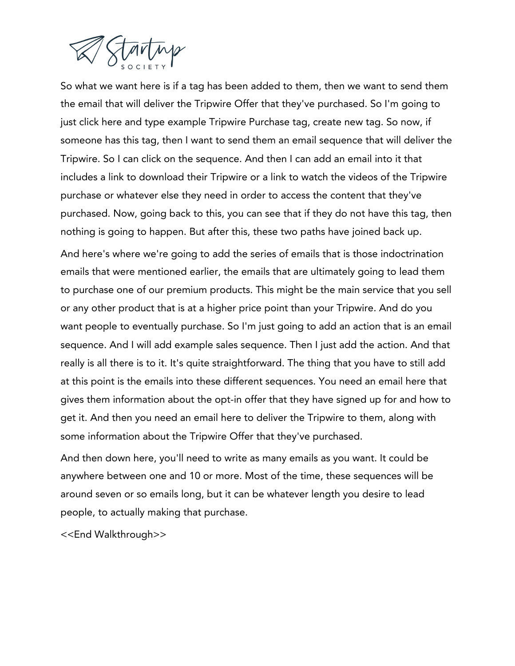

So what we want here is if a tag has been added to them, then we want to send them the email that will deliver the Tripwire Offer that they've purchased. So I'm going to just click here and type example Tripwire Purchase tag, create new tag. So now, if someone has this tag, then I want to send them an email sequence that will deliver the Tripwire. So I can click on the sequence. And then I can add an email into it that includes a link to download their Tripwire or a link to watch the videos of the Tripwire purchase or whatever else they need in order to access the content that they've purchased. Now, going back to this, you can see that if they do not have this tag, then nothing is going to happen. But after this, these two paths have joined back up.

And here's where we're going to add the series of emails that is those indoctrination emails that were mentioned earlier, the emails that are ultimately going to lead them to purchase one of our premium products. This might be the main service that you sell or any other product that is at a higher price point than your Tripwire. And do you want people to eventually purchase. So I'm just going to add an action that is an email sequence. And I will add example sales sequence. Then I just add the action. And that really is all there is to it. It's quite straightforward. The thing that you have to still add at this point is the emails into these different sequences. You need an email here that gives them information about the opt-in offer that they have signed up for and how to get it. And then you need an email here to deliver the Tripwire to them, along with some information about the Tripwire Offer that they've purchased.

And then down here, you'll need to write as many emails as you want. It could be anywhere between one and 10 or more. Most of the time, these sequences will be around seven or so emails long, but it can be whatever length you desire to lead people, to actually making that purchase.

<<End Walkthrough>>